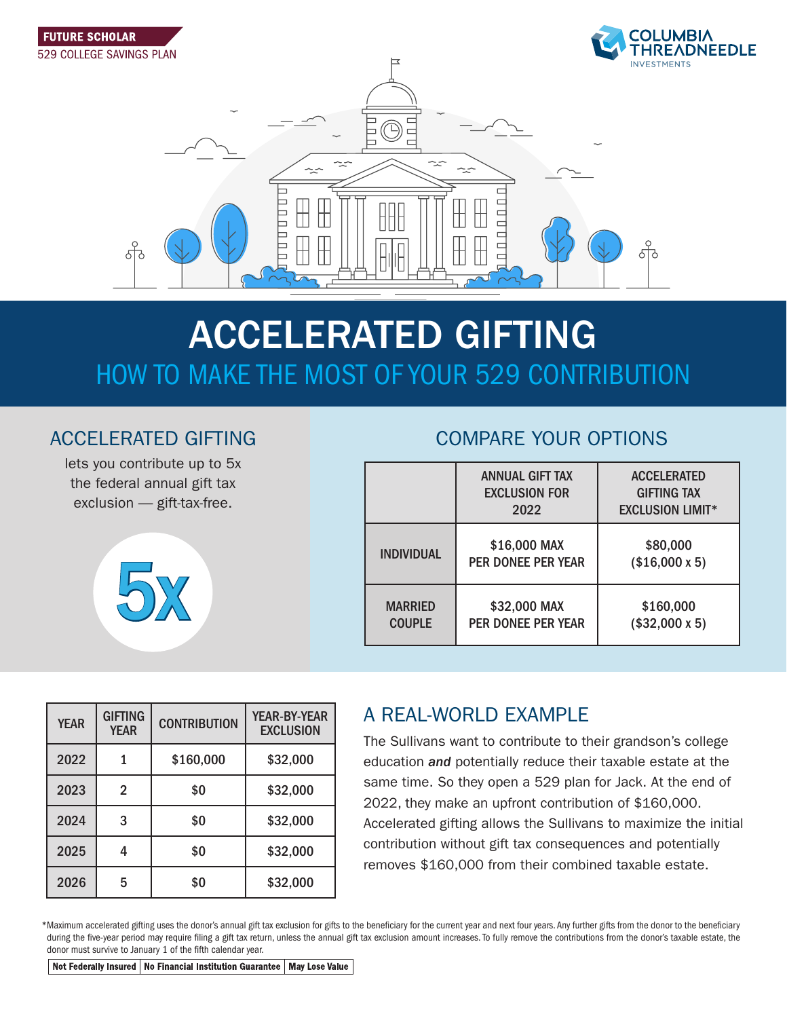

# ACCELERATED GIFTING HOW TO MAKE THE MOST OF YOUR 529 CONTRIBUTION

## ACCELERATED GIFTING

lets you contribute up to 5x the federal annual gift tax exclusion — gift-tax-free.



## COMPARE YOUR OPTIONS

|                                 | <b>ANNUAL GIFT TAX</b><br><b>EXCLUSION FOR</b><br>2022 | <b>ACCELERATED</b><br><b>GIFTING TAX</b><br><b>EXCLUSION LIMIT*</b> |
|---------------------------------|--------------------------------------------------------|---------------------------------------------------------------------|
| <b>INDIVIDUAL</b>               | \$16,000 MAX<br><b>PER DONEE PER YEAR</b>              | \$80,000<br>$($16,000 \times 5)$                                    |
| <b>MARRIED</b><br><b>COUPLE</b> | \$32,000 MAX<br><b>PER DONEE PER YEAR</b>              | \$160,000<br>$($32,000 \times 5)$                                   |

| <b>YEAR</b> | <b>GIFTING</b><br><b>YEAR</b> | <b>CONTRIBUTION</b> | <b>YEAR-BY-YEAR</b><br><b>EXCLUSION</b> |
|-------------|-------------------------------|---------------------|-----------------------------------------|
| 2022        |                               | \$160,000           | \$32,000                                |
| 2023        | 2                             | \$0                 | \$32,000                                |
| 2024        | 3                             | \$0                 | \$32,000                                |
| 2025        |                               | \$0                 | \$32,000                                |
| 2026        | 5                             | \$0                 | \$32,000                                |

## A REAL-WORLD EXAMPLE

The Sullivans want to contribute to their grandson's college education *and* potentially reduce their taxable estate at the same time. So they open a 529 plan for Jack. At the end of 2022, they make an upfront contribution of \$160,000. Accelerated gifting allows the Sullivans to maximize the initial contribution without gift tax consequences and potentially removes \$160,000 from their combined taxable estate.

\*Maximum accelerated gifting uses the donor's annual gift tax exclusion for gifts to the beneficiary for the current year and next four years. Any further gifts from the donor to the beneficiary during the five-year period may require filing a gift tax return, unless the annual gift tax exclusion amount increases. To fully remove the contributions from the donor's taxable estate, the donor must survive to January 1 of the fifth calendar year.

Not Federally Insured | No Financial Institution Guarantee | May Lose Value